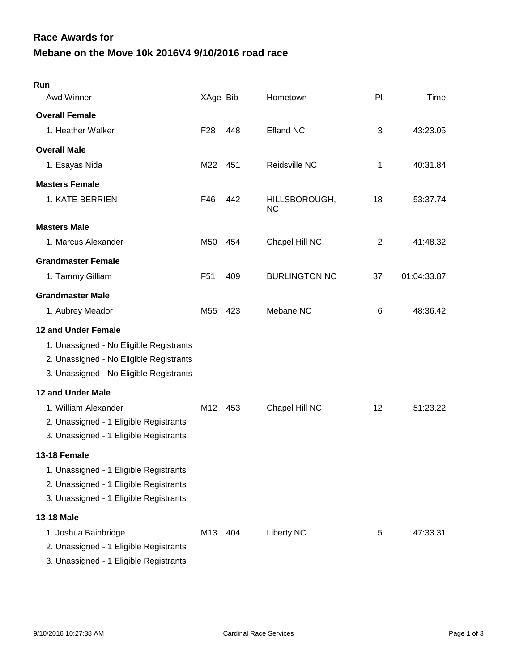## **Mebane on the Move 10k 2016V4 9/10/2016 road race Race Awards for**

| Run                                                                                                                                                  |                 |       |                            |                |             |
|------------------------------------------------------------------------------------------------------------------------------------------------------|-----------------|-------|----------------------------|----------------|-------------|
| Awd Winner                                                                                                                                           | XAge Bib        |       | Hometown                   | PI             | Time        |
| <b>Overall Female</b>                                                                                                                                |                 |       |                            |                |             |
| 1. Heather Walker                                                                                                                                    | F <sub>28</sub> | 448   | <b>Efland NC</b>           | 3              | 43:23.05    |
| <b>Overall Male</b>                                                                                                                                  |                 |       |                            |                |             |
| 1. Esayas Nida                                                                                                                                       | M22             | 451   | Reidsville NC              | 1              | 40:31.84    |
| <b>Masters Female</b>                                                                                                                                |                 |       |                            |                |             |
| 1. KATE BERRIEN                                                                                                                                      | F46             | 442   | HILLSBOROUGH,<br><b>NC</b> | 18             | 53:37.74    |
| <b>Masters Male</b>                                                                                                                                  |                 |       |                            |                |             |
| 1. Marcus Alexander                                                                                                                                  | M50             | 454   | Chapel Hill NC             | $\overline{2}$ | 41:48.32    |
| <b>Grandmaster Female</b>                                                                                                                            |                 |       |                            |                |             |
| 1. Tammy Gilliam                                                                                                                                     | F <sub>51</sub> | 409   | <b>BURLINGTON NC</b>       | 37             | 01:04:33.87 |
| <b>Grandmaster Male</b>                                                                                                                              |                 |       |                            |                |             |
| 1. Aubrey Meador                                                                                                                                     | M55             | 423   | Mebane NC                  | 6              | 48:36.42    |
| 12 and Under Female<br>1. Unassigned - No Eligible Registrants<br>2. Unassigned - No Eligible Registrants<br>3. Unassigned - No Eligible Registrants |                 |       |                            |                |             |
| <b>12 and Under Male</b>                                                                                                                             |                 |       |                            |                |             |
| 1. William Alexander<br>2. Unassigned - 1 Eligible Registrants<br>3. Unassigned - 1 Eligible Registrants                                             | M12             | - 453 | Chapel Hill NC             | 12             | 51:23.22    |
| 13-18 Female                                                                                                                                         |                 |       |                            |                |             |
| 1. Unassigned - 1 Eligible Registrants<br>2. Unassigned - 1 Eligible Registrants<br>3. Unassigned - 1 Eligible Registrants                           |                 |       |                            |                |             |
| 13-18 Male                                                                                                                                           |                 |       |                            |                |             |
| 1. Joshua Bainbridge<br>2. Unassigned - 1 Eligible Registrants<br>3. Unassigned - 1 Eligible Registrants                                             | M13             | 404   | <b>Liberty NC</b>          | 5              | 47:33.31    |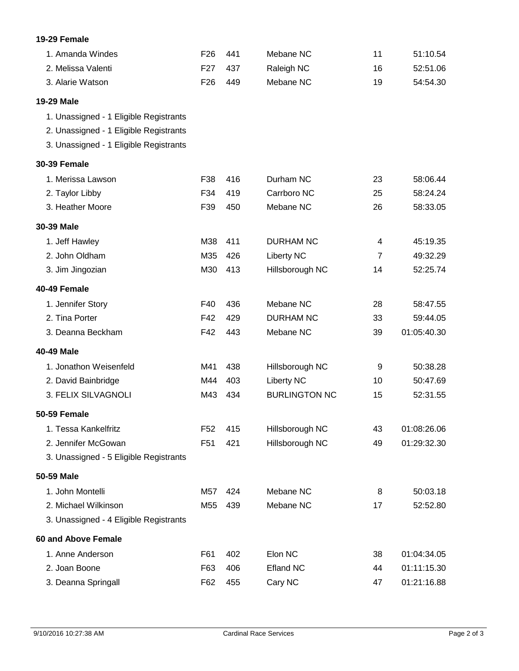## **19-29 Female**

| 1. Amanda Windes                       | F <sub>26</sub> | 441 | Mebane NC            | 11             | 51:10.54    |
|----------------------------------------|-----------------|-----|----------------------|----------------|-------------|
| 2. Melissa Valenti                     | F <sub>27</sub> | 437 | Raleigh NC           | 16             | 52:51.06    |
| 3. Alarie Watson                       | F <sub>26</sub> | 449 | Mebane NC            | 19             | 54:54.30    |
| 19-29 Male                             |                 |     |                      |                |             |
| 1. Unassigned - 1 Eligible Registrants |                 |     |                      |                |             |
| 2. Unassigned - 1 Eligible Registrants |                 |     |                      |                |             |
| 3. Unassigned - 1 Eligible Registrants |                 |     |                      |                |             |
| <b>30-39 Female</b>                    |                 |     |                      |                |             |
| 1. Merissa Lawson                      | F38             | 416 | Durham NC            | 23             | 58:06.44    |
| 2. Taylor Libby                        | F34             | 419 | Carrboro NC          | 25             | 58:24.24    |
| 3. Heather Moore                       | F39             | 450 | Mebane NC            | 26             | 58:33.05    |
| 30-39 Male                             |                 |     |                      |                |             |
| 1. Jeff Hawley                         | M38             | 411 | <b>DURHAM NC</b>     | 4              | 45:19.35    |
| 2. John Oldham                         | M35             | 426 | <b>Liberty NC</b>    | $\overline{7}$ | 49:32.29    |
| 3. Jim Jingozian                       | M30             | 413 | Hillsborough NC      | 14             | 52:25.74    |
| 40-49 Female                           |                 |     |                      |                |             |
| 1. Jennifer Story                      | F40             | 436 | Mebane NC            | 28             | 58:47.55    |
| 2. Tina Porter                         | F42             | 429 | <b>DURHAM NC</b>     | 33             | 59:44.05    |
| 3. Deanna Beckham                      | F42             | 443 | Mebane NC            | 39             | 01:05:40.30 |
| 40-49 Male                             |                 |     |                      |                |             |
| 1. Jonathon Weisenfeld                 | M41             | 438 | Hillsborough NC      | 9              | 50:38.28    |
| 2. David Bainbridge                    | M44             | 403 | <b>Liberty NC</b>    | 10             | 50:47.69    |
| 3. FELIX SILVAGNOLI                    | M43             | 434 | <b>BURLINGTON NC</b> | 15             | 52:31.55    |
| 50-59 Female                           |                 |     |                      |                |             |
| 1. Tessa Kankelfritz                   | F <sub>52</sub> | 415 | Hillsborough NC      | 43             | 01:08:26.06 |
| 2. Jennifer McGowan                    | F <sub>51</sub> | 421 | Hillsborough NC      | 49             | 01:29:32.30 |
| 3. Unassigned - 5 Eligible Registrants |                 |     |                      |                |             |
| 50-59 Male                             |                 |     |                      |                |             |
| 1. John Montelli                       | M57             | 424 | Mebane NC            | 8              | 50:03.18    |
| 2. Michael Wilkinson                   | M55             | 439 | Mebane NC            | 17             | 52:52.80    |
| 3. Unassigned - 4 Eligible Registrants |                 |     |                      |                |             |
| 60 and Above Female                    |                 |     |                      |                |             |
| 1. Anne Anderson                       | F61             | 402 | Elon NC              | 38             | 01:04:34.05 |
| 2. Joan Boone                          | F63             | 406 | <b>Efland NC</b>     | 44             | 01:11:15.30 |
| 3. Deanna Springall                    | F62             | 455 | Cary NC              | 47             | 01:21:16.88 |